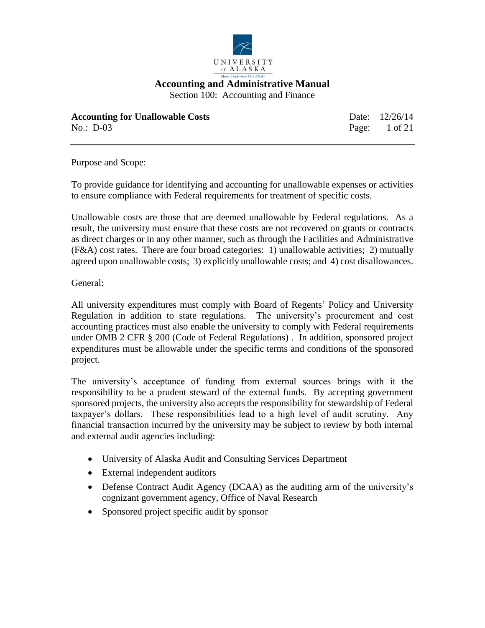

Section 100: Accounting and Finance

| <b>Accounting for Unallowable Costs</b> | Date: 12/26/14 |
|-----------------------------------------|----------------|
| No.: $D-03$                             | Page: 1 of 21  |

Purpose and Scope:

To provide guidance for identifying and accounting for unallowable expenses or activities to ensure compliance with Federal requirements for treatment of specific costs.

Unallowable costs are those that are deemed unallowable by Federal regulations. As a result, the university must ensure that these costs are not recovered on grants or contracts as direct charges or in any other manner, such as through the Facilities and Administrative (F&A) cost rates. There are four broad categories: 1) unallowable activities; 2) mutually agreed upon unallowable costs; 3) explicitly unallowable costs; and 4) cost disallowances.

General:

All university expenditures must comply with Board of Regents' Policy and University Regulation in addition to state regulations. The university's procurement and cost accounting practices must also enable the university to comply with Federal requirements under OMB 2 CFR § 200 (Code of Federal Regulations) . In addition, sponsored project expenditures must be allowable under the specific terms and conditions of the sponsored project.

The university's acceptance of funding from external sources brings with it the responsibility to be a prudent steward of the external funds. By accepting government sponsored projects, the university also accepts the responsibility for stewardship of Federal taxpayer's dollars. These responsibilities lead to a high level of audit scrutiny. Any financial transaction incurred by the university may be subject to review by both internal and external audit agencies including:

- University of Alaska Audit and Consulting Services Department
- External independent auditors
- Defense Contract Audit Agency (DCAA) as the auditing arm of the university's cognizant government agency, Office of Naval Research
- Sponsored project specific audit by sponsor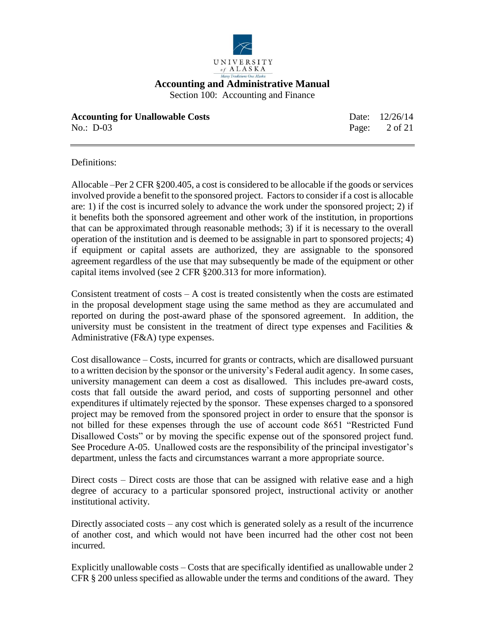

**Accounting for Unallowable Costs** Date: 12/26/14 No.: D-03 Page: 2 of 21

Definitions:

Allocable –Per 2 CFR §200.405, a cost is considered to be allocable if the goods or services involved provide a benefit to the sponsored project. Factors to consider if a cost is allocable are: 1) if the cost is incurred solely to advance the work under the sponsored project; 2) if it benefits both the sponsored agreement and other work of the institution, in proportions that can be approximated through reasonable methods; 3) if it is necessary to the overall operation of the institution and is deemed to be assignable in part to sponsored projects; 4) if equipment or capital assets are authorized, they are assignable to the sponsored agreement regardless of the use that may subsequently be made of the equipment or other capital items involved (see 2 CFR §200.313 for more information).

Consistent treatment of  $costs - A cost$  is treated consistently when the costs are estimated in the proposal development stage using the same method as they are accumulated and reported on during the post-award phase of the sponsored agreement. In addition, the university must be consistent in the treatment of direct type expenses and Facilities  $\&$ Administrative (F&A) type expenses.

Cost disallowance – Costs, incurred for grants or contracts, which are disallowed pursuant to a written decision by the sponsor or the university's Federal audit agency. In some cases, university management can deem a cost as disallowed. This includes pre-award costs, costs that fall outside the award period, and costs of supporting personnel and other expenditures if ultimately rejected by the sponsor. These expenses charged to a sponsored project may be removed from the sponsored project in order to ensure that the sponsor is not billed for these expenses through the use of account code 8651 "Restricted Fund Disallowed Costs" or by moving the specific expense out of the sponsored project fund. See Procedure A-05. Unallowed costs are the responsibility of the principal investigator's department, unless the facts and circumstances warrant a more appropriate source.

Direct costs – Direct costs are those that can be assigned with relative ease and a high degree of accuracy to a particular sponsored project, instructional activity or another institutional activity.

Directly associated costs – any cost which is generated solely as a result of the incurrence of another cost, and which would not have been incurred had the other cost not been incurred.

Explicitly unallowable costs – Costs that are specifically identified as unallowable under 2 CFR § 200 unless specified as allowable under the terms and conditions of the award. They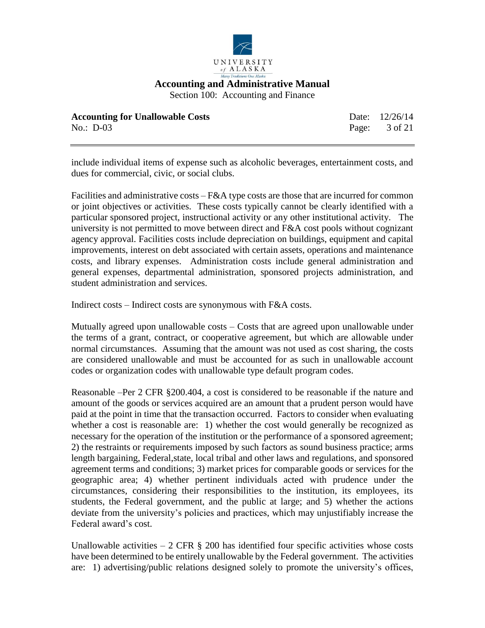

Section 100: Accounting and Finance

| <b>Accounting for Unallowable Costs</b> | Date: 12/26/14           |
|-----------------------------------------|--------------------------|
| No.: $D-03$                             | Page: $3 \text{ of } 21$ |

include individual items of expense such as alcoholic beverages, entertainment costs, and dues for commercial, civic, or social clubs.

Facilities and administrative costs – F&A type costs are those that are incurred for common or joint objectives or activities. These costs typically cannot be clearly identified with a particular sponsored project, instructional activity or any other institutional activity. The university is not permitted to move between direct and F&A cost pools without cognizant agency approval. Facilities costs include depreciation on buildings, equipment and capital improvements, interest on debt associated with certain assets, operations and maintenance costs, and library expenses. Administration costs include general administration and general expenses, departmental administration, sponsored projects administration, and student administration and services.

Indirect costs – Indirect costs are synonymous with F&A costs.

Mutually agreed upon unallowable costs – Costs that are agreed upon unallowable under the terms of a grant, contract, or cooperative agreement, but which are allowable under normal circumstances. Assuming that the amount was not used as cost sharing, the costs are considered unallowable and must be accounted for as such in unallowable account codes or organization codes with unallowable type default program codes.

Reasonable –Per 2 CFR §200.404, a cost is considered to be reasonable if the nature and amount of the goods or services acquired are an amount that a prudent person would have paid at the point in time that the transaction occurred. Factors to consider when evaluating whether a cost is reasonable are: 1) whether the cost would generally be recognized as necessary for the operation of the institution or the performance of a sponsored agreement; 2) the restraints or requirements imposed by such factors as sound business practice; arms length bargaining, Federal,state, local tribal and other laws and regulations, and sponsored agreement terms and conditions; 3) market prices for comparable goods or services for the geographic area; 4) whether pertinent individuals acted with prudence under the circumstances, considering their responsibilities to the institution, its employees, its students, the Federal government, and the public at large; and 5) whether the actions deviate from the university's policies and practices, which may unjustifiably increase the Federal award's cost.

Unallowable activities  $-2$  CFR  $\S$  200 has identified four specific activities whose costs have been determined to be entirely unallowable by the Federal government. The activities are: 1) advertising/public relations designed solely to promote the university's offices,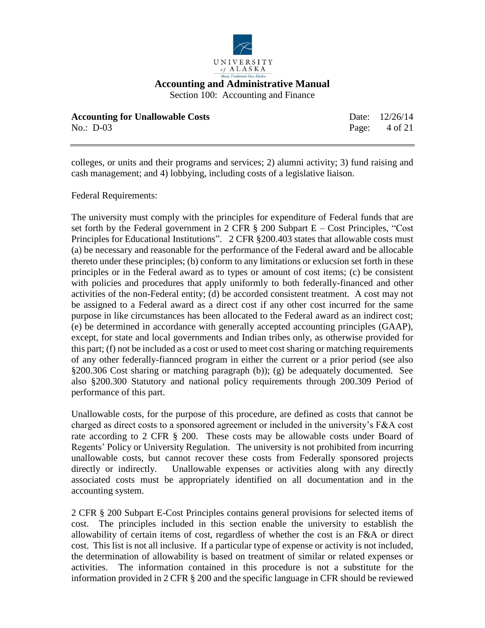

Section 100: Accounting and Finance

| <b>Accounting for Unallowable Costs</b> | Date: 12/26/14           |
|-----------------------------------------|--------------------------|
| No.: $D-03$                             | Page: $4 \text{ of } 21$ |

colleges, or units and their programs and services; 2) alumni activity; 3) fund raising and cash management; and 4) lobbying, including costs of a legislative liaison.

Federal Requirements:

The university must comply with the principles for expenditure of Federal funds that are set forth by the Federal government in 2 CFR  $\S$  200 Subpart E – Cost Principles, "Cost" Principles for Educational Institutions". 2 CFR §200.403 states that allowable costs must (a) be necessary and reasonable for the performance of the Federal award and be allocable thereto under these principles; (b) conform to any limitations or exlucsion set forth in these principles or in the Federal award as to types or amount of cost items; (c) be consistent with policies and procedures that apply uniformly to both federally-financed and other activities of the non-Federal entity; (d) be accorded consistent treatment. A cost may not be assigned to a Federal award as a direct cost if any other cost incurred for the same purpose in like circumstances has been allocated to the Federal award as an indirect cost; (e) be determined in accordance with generally accepted accounting principles (GAAP), except, for state and local governments and Indian tribes only, as otherwise provided for this part; (f) not be included as a cost or used to meet cost sharing or matching requirements of any other federally-fiannced program in either the current or a prior period (see also §200.306 Cost sharing or matching paragraph (b)); (g) be adequately documented. See also §200.300 Statutory and national policy requirements through 200.309 Period of performance of this part.

Unallowable costs, for the purpose of this procedure, are defined as costs that cannot be charged as direct costs to a sponsored agreement or included in the university's F&A cost rate according to 2 CFR § 200. These costs may be allowable costs under Board of Regents' Policy or University Regulation. The university is not prohibited from incurring unallowable costs, but cannot recover these costs from Federally sponsored projects directly or indirectly. Unallowable expenses or activities along with any directly associated costs must be appropriately identified on all documentation and in the accounting system.

2 CFR § 200 Subpart E-Cost Principles contains general provisions for selected items of cost. The principles included in this section enable the university to establish the allowability of certain items of cost, regardless of whether the cost is an F&A or direct cost. This list is not all inclusive. If a particular type of expense or activity is not included, the determination of allowability is based on treatment of similar or related expenses or activities. The information contained in this procedure is not a substitute for the information provided in 2 CFR § 200 and the specific language in CFR should be reviewed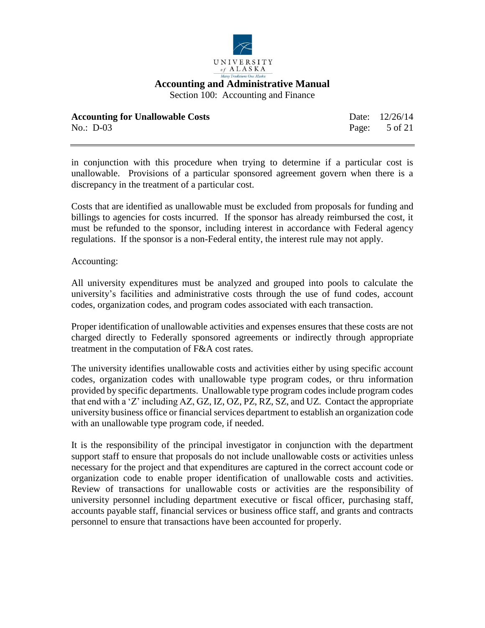

Section 100: Accounting and Finance

| <b>Accounting for Unallowable Costs</b> | Date: 12/26/14 |
|-----------------------------------------|----------------|
| No.: $D-03$                             | Page: 5 of 21  |

in conjunction with this procedure when trying to determine if a particular cost is unallowable. Provisions of a particular sponsored agreement govern when there is a discrepancy in the treatment of a particular cost.

Costs that are identified as unallowable must be excluded from proposals for funding and billings to agencies for costs incurred. If the sponsor has already reimbursed the cost, it must be refunded to the sponsor, including interest in accordance with Federal agency regulations. If the sponsor is a non-Federal entity, the interest rule may not apply.

## Accounting:

All university expenditures must be analyzed and grouped into pools to calculate the university's facilities and administrative costs through the use of fund codes, account codes, organization codes, and program codes associated with each transaction.

Proper identification of unallowable activities and expenses ensures that these costs are not charged directly to Federally sponsored agreements or indirectly through appropriate treatment in the computation of F&A cost rates.

The university identifies unallowable costs and activities either by using specific account codes, organization codes with unallowable type program codes, or thru information provided by specific departments. Unallowable type program codes include program codes that end with a 'Z' including AZ, GZ, IZ, OZ, PZ, RZ, SZ, and UZ. Contact the appropriate university business office or financial services department to establish an organization code with an unallowable type program code, if needed.

It is the responsibility of the principal investigator in conjunction with the department support staff to ensure that proposals do not include unallowable costs or activities unless necessary for the project and that expenditures are captured in the correct account code or organization code to enable proper identification of unallowable costs and activities. Review of transactions for unallowable costs or activities are the responsibility of university personnel including department executive or fiscal officer, purchasing staff, accounts payable staff, financial services or business office staff, and grants and contracts personnel to ensure that transactions have been accounted for properly.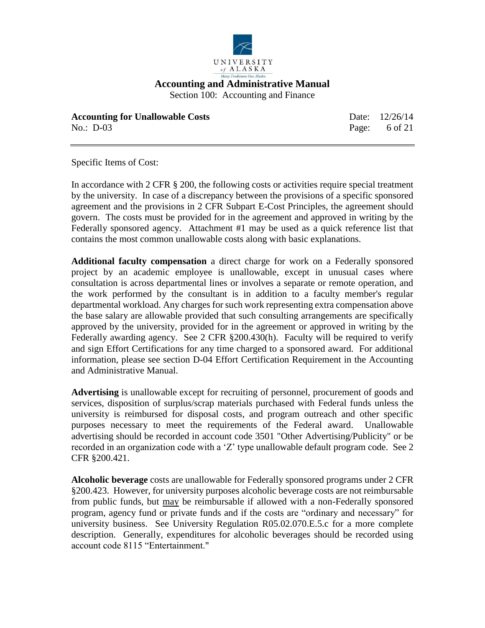

Section 100: Accounting and Finance

| <b>Accounting for Unallowable Costs</b> | Date: 12/26/14           |
|-----------------------------------------|--------------------------|
| No.: D-03                               | Page: $6 \text{ of } 21$ |

Specific Items of Cost:

In accordance with 2 CFR § 200, the following costs or activities require special treatment by the university. In case of a discrepancy between the provisions of a specific sponsored agreement and the provisions in 2 CFR Subpart E-Cost Principles, the agreement should govern. The costs must be provided for in the agreement and approved in writing by the Federally sponsored agency. Attachment #1 may be used as a quick reference list that contains the most common unallowable costs along with basic explanations.

**Additional faculty compensation** a direct charge for work on a Federally sponsored project by an academic employee is unallowable, except in unusual cases where consultation is across departmental lines or involves a separate or remote operation, and the work performed by the consultant is in addition to a faculty member's regular departmental workload. Any charges for such work representing extra compensation above the base salary are allowable provided that such consulting arrangements are specifically approved by the university, provided for in the agreement or approved in writing by the Federally awarding agency. See 2 CFR §200.430(h). Faculty will be required to verify and sign Effort Certifications for any time charged to a sponsored award. For additional information, please see section D-04 Effort Certification Requirement in the Accounting and Administrative Manual.

**Advertising** is unallowable except for recruiting of personnel, procurement of goods and services, disposition of surplus/scrap materials purchased with Federal funds unless the university is reimbursed for disposal costs, and program outreach and other specific purposes necessary to meet the requirements of the Federal award. Unallowable advertising should be recorded in account code 3501 "Other Advertising/Publicity" or be recorded in an organization code with a 'Z' type unallowable default program code. See 2 CFR §200.421.

**Alcoholic beverage** costs are unallowable for Federally sponsored programs under 2 CFR §200.423. However, for university purposes alcoholic beverage costs are not reimbursable from public funds, but may be reimbursable if allowed with a non-Federally sponsored program, agency fund or private funds and if the costs are "ordinary and necessary" for university business. See University Regulation R05.02.070.E.5.c for a more complete description. Generally, expenditures for alcoholic beverages should be recorded using account code 8115 "Entertainment."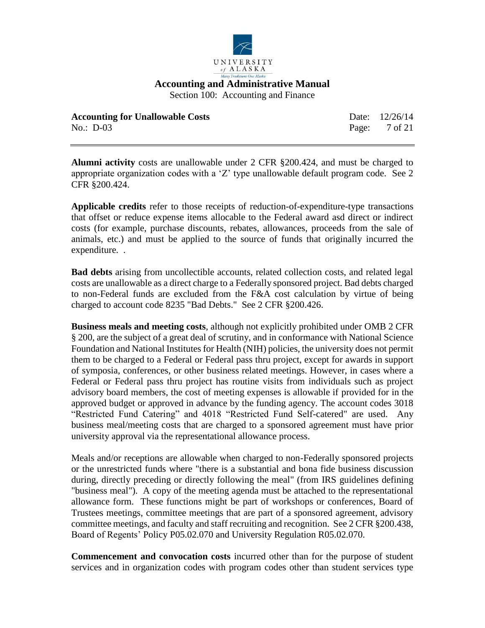

Section 100: Accounting and Finance

| <b>Accounting for Unallowable Costs</b> | Date: 12/26/14           |
|-----------------------------------------|--------------------------|
| No.: $D-03$                             | Page: $7 \text{ of } 21$ |

**Alumni activity** costs are unallowable under 2 CFR §200.424, and must be charged to appropriate organization codes with a 'Z' type unallowable default program code. See 2 CFR §200.424.

**Applicable credits** refer to those receipts of reduction-of-expenditure-type transactions that offset or reduce expense items allocable to the Federal award asd direct or indirect costs (for example, purchase discounts, rebates, allowances, proceeds from the sale of animals, etc.) and must be applied to the source of funds that originally incurred the expenditure. .

**Bad debts** arising from uncollectible accounts, related collection costs, and related legal costs are unallowable as a direct charge to a Federally sponsored project. Bad debts charged to non-Federal funds are excluded from the F&A cost calculation by virtue of being charged to account code 8235 "Bad Debts." See 2 CFR §200.426.

**Business meals and meeting costs**, although not explicitly prohibited under OMB 2 CFR § 200, are the subject of a great deal of scrutiny, and in conformance with National Science Foundation and National Institutes for Health (NIH) policies, the university does not permit them to be charged to a Federal or Federal pass thru project, except for awards in support of symposia, conferences, or other business related meetings. However, in cases where a Federal or Federal pass thru project has routine visits from individuals such as project advisory board members, the cost of meeting expenses is allowable if provided for in the approved budget or approved in advance by the funding agency. The account codes 3018 "Restricted Fund Catering" and 4018 "Restricted Fund Self-catered" are used. Any business meal/meeting costs that are charged to a sponsored agreement must have prior university approval via the representational allowance process.

Meals and/or receptions are allowable when charged to non-Federally sponsored projects or the unrestricted funds where "there is a substantial and bona fide business discussion during, directly preceding or directly following the meal" (from IRS guidelines defining "business meal"). A copy of the meeting agenda must be attached to the representational allowance form. These functions might be part of workshops or conferences, Board of Trustees meetings, committee meetings that are part of a sponsored agreement, advisory committee meetings, and faculty and staff recruiting and recognition. See 2 CFR §200.438, Board of Regents' Policy P05.02.070 and University Regulation R05.02.070.

**Commencement and convocation costs** incurred other than for the purpose of student services and in organization codes with program codes other than student services type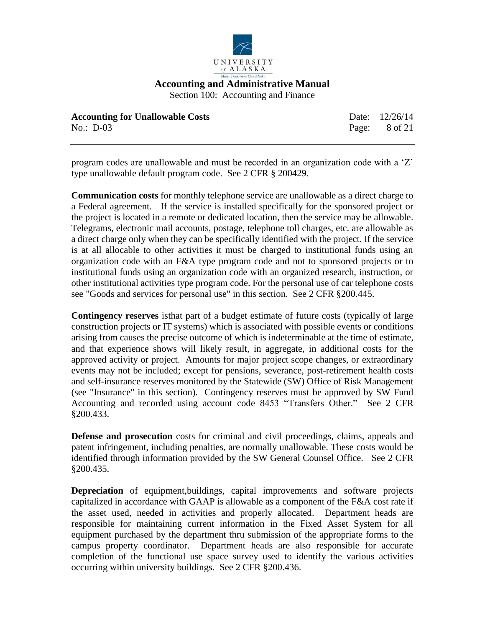

Section 100: Accounting and Finance

| <b>Accounting for Unallowable Costs</b> | Date: 12/26/14           |
|-----------------------------------------|--------------------------|
| No.: $D-03$                             | Page: $8 \text{ of } 21$ |

program codes are unallowable and must be recorded in an organization code with a 'Z' type unallowable default program code. See 2 CFR § 200429.

**Communication costs** for monthly telephone service are unallowable as a direct charge to a Federal agreement. If the service is installed specifically for the sponsored project or the project is located in a remote or dedicated location, then the service may be allowable. Telegrams, electronic mail accounts, postage, telephone toll charges, etc. are allowable as a direct charge only when they can be specifically identified with the project. If the service is at all allocable to other activities it must be charged to institutional funds using an organization code with an F&A type program code and not to sponsored projects or to institutional funds using an organization code with an organized research, instruction, or other institutional activities type program code. For the personal use of car telephone costs see "Goods and services for personal use" in this section. See 2 CFR §200.445.

**Contingency reserves** isthat part of a budget estimate of future costs (typically of large construction projects or IT systems) which is associated with possible events or conditions arising from causes the precise outcome of which is indeterminable at the time of estimate, and that experience shows will likely result, in aggregate, in additional costs for the approved activity or project. Amounts for major project scope changes, or extraordinary events may not be included; except for pensions, severance, post-retirement health costs and self-insurance reserves monitored by the Statewide (SW) Office of Risk Management (see "Insurance" in this section). Contingency reserves must be approved by SW Fund Accounting and recorded using account code 8453 "Transfers Other." See 2 CFR §200.433.

**Defense and prosecution** costs for criminal and civil proceedings, claims, appeals and patent infringement, including penalties, are normally unallowable. These costs would be identified through information provided by the SW General Counsel Office. See 2 CFR §200.435.

**Depreciation** of equipment,buildings, capital improvements and software projects capitalized in accordance with GAAP is allowable as a component of the F&A cost rate if the asset used, needed in activities and properly allocated. Department heads are responsible for maintaining current information in the Fixed Asset System for all equipment purchased by the department thru submission of the appropriate forms to the campus property coordinator. Department heads are also responsible for accurate completion of the functional use space survey used to identify the various activities occurring within university buildings. See 2 CFR §200.436.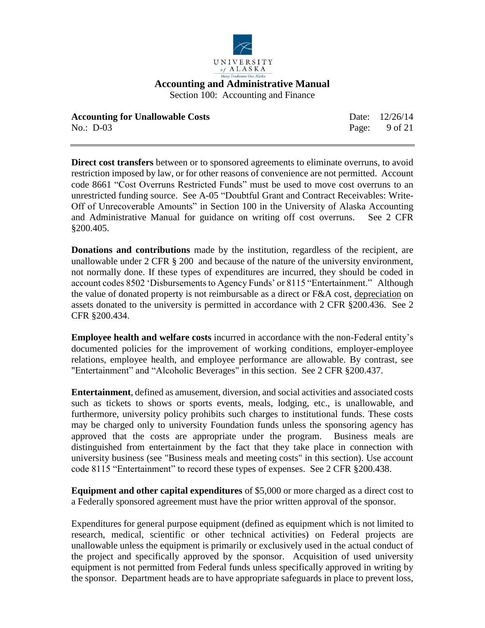

Section 100: Accounting and Finance

| <b>Accounting for Unallowable Costs</b> | Date: 12/26/14           |
|-----------------------------------------|--------------------------|
| No.: $D-03$                             | Page: $9 \text{ of } 21$ |

**Direct cost transfers** between or to sponsored agreements to eliminate overruns, to avoid restriction imposed by law, or for other reasons of convenience are not permitted. Account code 8661 "Cost Overruns Restricted Funds" must be used to move cost overruns to an unrestricted funding source. See A-05 "Doubtful Grant and Contract Receivables: Write-Off of Unrecoverable Amounts" in Section 100 in the University of Alaska Accounting and Administrative Manual for guidance on writing off cost overruns. See 2 CFR §200.405.

**Donations and contributions** made by the institution, regardless of the recipient, are unallowable under 2 CFR § 200 and because of the nature of the university environment, not normally done. If these types of expenditures are incurred, they should be coded in account codes 8502 'Disbursements to Agency Funds' or 8115 "Entertainment." Although the value of donated property is not reimbursable as a direct or F&A cost, depreciation on assets donated to the university is permitted in accordance with 2 CFR §200.436. See 2 CFR §200.434.

**Employee health and welfare costs** incurred in accordance with the non-Federal entity's documented policies for the improvement of working conditions, employer-employee relations, employee health, and employee performance are allowable. By contrast, see "Entertainment" and "Alcoholic Beverages" in this section. See 2 CFR §200.437.

**Entertainment**, defined as amusement, diversion, and social activities and associated costs such as tickets to shows or sports events, meals, lodging, etc., is unallowable, and furthermore, university policy prohibits such charges to institutional funds. These costs may be charged only to university Foundation funds unless the sponsoring agency has approved that the costs are appropriate under the program. Business meals are distinguished from entertainment by the fact that they take place in connection with university business (see "Business meals and meeting costs" in this section). Use account code 8115 "Entertainment" to record these types of expenses. See 2 CFR §200.438.

**Equipment and other capital expenditures** of \$5,000 or more charged as a direct cost to a Federally sponsored agreement must have the prior written approval of the sponsor.

Expenditures for general purpose equipment (defined as equipment which is not limited to research, medical, scientific or other technical activities) on Federal projects are unallowable unless the equipment is primarily or exclusively used in the actual conduct of the project and specifically approved by the sponsor. Acquisition of used university equipment is not permitted from Federal funds unless specifically approved in writing by the sponsor. Department heads are to have appropriate safeguards in place to prevent loss,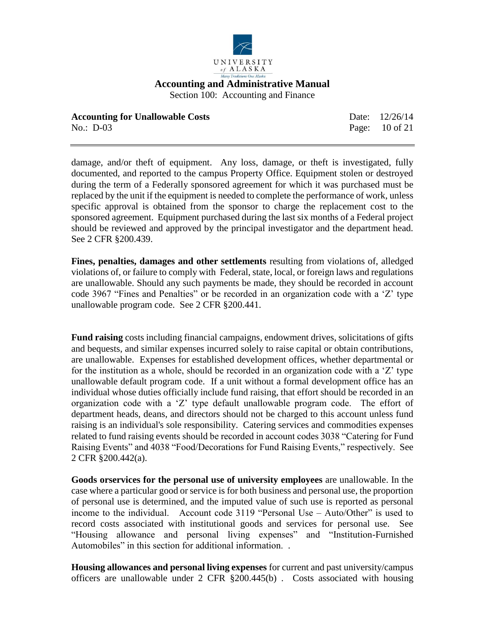

| <b>Accounting for Unallowable Costs</b> | Date: 12/26/14 |
|-----------------------------------------|----------------|
| No.: D-03                               | Page: 10 of 21 |

damage, and/or theft of equipment. Any loss, damage, or theft is investigated, fully documented, and reported to the campus Property Office. Equipment stolen or destroyed during the term of a Federally sponsored agreement for which it was purchased must be replaced by the unit if the equipment is needed to complete the performance of work, unless specific approval is obtained from the sponsor to charge the replacement cost to the sponsored agreement. Equipment purchased during the last six months of a Federal project should be reviewed and approved by the principal investigator and the department head. See 2 CFR §200.439.

**Fines, penalties, damages and other settlements** resulting from violations of, alledged violations of, or failure to comply with Federal, state, local, or foreign laws and regulations are unallowable. Should any such payments be made, they should be recorded in account code 3967 "Fines and Penalties" or be recorded in an organization code with a 'Z' type unallowable program code. See 2 CFR §200.441.

**Fund raising** costs including financial campaigns, endowment drives, solicitations of gifts and bequests, and similar expenses incurred solely to raise capital or obtain contributions, are unallowable. Expenses for established development offices, whether departmental or for the institution as a whole, should be recorded in an organization code with a 'Z' type unallowable default program code. If a unit without a formal development office has an individual whose duties officially include fund raising, that effort should be recorded in an organization code with a 'Z' type default unallowable program code. The effort of department heads, deans, and directors should not be charged to this account unless fund raising is an individual's sole responsibility. Catering services and commodities expenses related to fund raising events should be recorded in account codes 3038 "Catering for Fund Raising Events" and 4038 "Food/Decorations for Fund Raising Events," respectively. See 2 CFR §200.442(a).

**Goods orservices for the personal use of university employees** are unallowable. In the case where a particular good or service is for both business and personal use, the proportion of personal use is determined, and the imputed value of such use is reported as personal income to the individual. Account code 3119 "Personal Use – Auto/Other" is used to record costs associated with institutional goods and services for personal use. See "Housing allowance and personal living expenses" and "Institution-Furnished Automobiles" in this section for additional information. .

**Housing allowances and personal living expenses** for current and past university/campus officers are unallowable under 2 CFR §200.445(b) . Costs associated with housing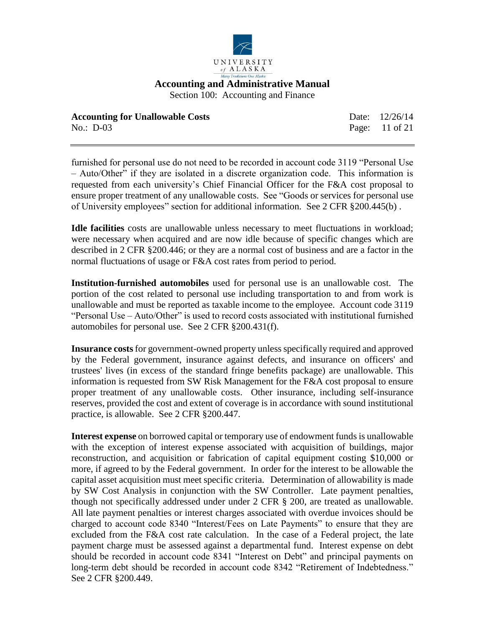

| <b>Accounting for Unallowable Costs</b> | Date: 12/26/14 |
|-----------------------------------------|----------------|
| No.: D-03                               | Page: 11 of 21 |

furnished for personal use do not need to be recorded in account code 3119 "Personal Use – Auto/Other" if they are isolated in a discrete organization code. This information is requested from each university's Chief Financial Officer for the F&A cost proposal to ensure proper treatment of any unallowable costs. See "Goods or services for personal use of University employees" section for additional information. See 2 CFR §200.445(b) .

**Idle facilities** costs are unallowable unless necessary to meet fluctuations in workload; were necessary when acquired and are now idle because of specific changes which are described in 2 CFR §200.446; or they are a normal cost of business and are a factor in the normal fluctuations of usage or F&A cost rates from period to period.

**Institution-furnished automobiles** used for personal use is an unallowable cost. The portion of the cost related to personal use including transportation to and from work is unallowable and must be reported as taxable income to the employee. Account code 3119 "Personal Use – Auto/Other" is used to record costs associated with institutional furnished automobiles for personal use. See 2 CFR §200.431(f).

**Insurance costs**for government-owned property unless specifically required and approved by the Federal government, insurance against defects, and insurance on officers' and trustees' lives (in excess of the standard fringe benefits package) are unallowable. This information is requested from SW Risk Management for the F&A cost proposal to ensure proper treatment of any unallowable costs. Other insurance, including self-insurance reserves, provided the cost and extent of coverage is in accordance with sound institutional practice, is allowable. See 2 CFR §200.447.

**Interest expense** on borrowed capital or temporary use of endowment funds is unallowable with the exception of interest expense associated with acquisition of buildings, major reconstruction, and acquisition or fabrication of capital equipment costing \$10,000 or more, if agreed to by the Federal government. In order for the interest to be allowable the capital asset acquisition must meet specific criteria. Determination of allowability is made by SW Cost Analysis in conjunction with the SW Controller. Late payment penalties, though not specifically addressed under under 2 CFR § 200, are treated as unallowable. All late payment penalties or interest charges associated with overdue invoices should be charged to account code 8340 "Interest/Fees on Late Payments" to ensure that they are excluded from the F&A cost rate calculation. In the case of a Federal project, the late payment charge must be assessed against a departmental fund. Interest expense on debt should be recorded in account code 8341 "Interest on Debt" and principal payments on long-term debt should be recorded in account code 8342 "Retirement of Indebtedness." See 2 CFR §200.449.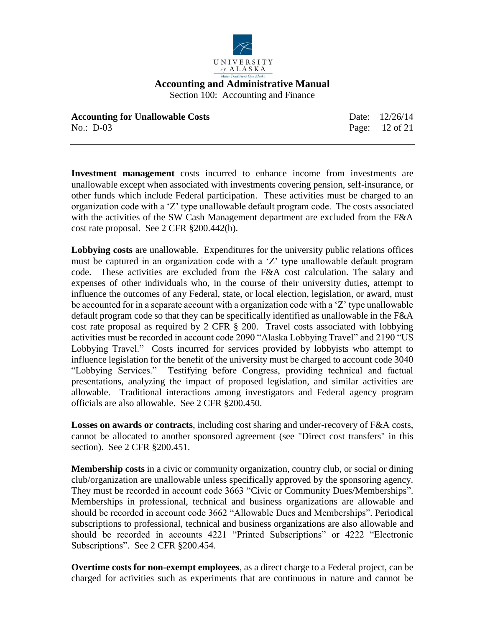

| <b>Accounting for Unallowable Costs</b> | Date: 12/26/14 |
|-----------------------------------------|----------------|
| No.: D-03                               | Page: 12 of 21 |

**Investment management** costs incurred to enhance income from investments are unallowable except when associated with investments covering pension, self-insurance, or other funds which include Federal participation. These activities must be charged to an organization code with a 'Z' type unallowable default program code. The costs associated with the activities of the SW Cash Management department are excluded from the F&A cost rate proposal. See 2 CFR §200.442(b).

**Lobbying costs** are unallowable. Expenditures for the university public relations offices must be captured in an organization code with a 'Z' type unallowable default program code. These activities are excluded from the F&A cost calculation. The salary and expenses of other individuals who, in the course of their university duties, attempt to influence the outcomes of any Federal, state, or local election, legislation, or award, must be accounted for in a separate account with a organization code with a 'Z' type unallowable default program code so that they can be specifically identified as unallowable in the F&A cost rate proposal as required by 2 CFR § 200. Travel costs associated with lobbying activities must be recorded in account code 2090 "Alaska Lobbying Travel" and 2190 "US Lobbying Travel." Costs incurred for services provided by lobbyists who attempt to influence legislation for the benefit of the university must be charged to account code 3040 "Lobbying Services." Testifying before Congress, providing technical and factual presentations, analyzing the impact of proposed legislation, and similar activities are allowable. Traditional interactions among investigators and Federal agency program officials are also allowable. See 2 CFR §200.450.

**Losses on awards or contracts**, including cost sharing and under-recovery of F&A costs, cannot be allocated to another sponsored agreement (see "Direct cost transfers" in this section). See 2 CFR §200.451.

**Membership costs** in a civic or community organization, country club, or social or dining club/organization are unallowable unless specifically approved by the sponsoring agency. They must be recorded in account code 3663 "Civic or Community Dues/Memberships". Memberships in professional, technical and business organizations are allowable and should be recorded in account code 3662 "Allowable Dues and Memberships". Periodical subscriptions to professional, technical and business organizations are also allowable and should be recorded in accounts 4221 "Printed Subscriptions" or 4222 "Electronic Subscriptions". See 2 CFR §200.454.

**Overtime costs for non-exempt employees**, as a direct charge to a Federal project, can be charged for activities such as experiments that are continuous in nature and cannot be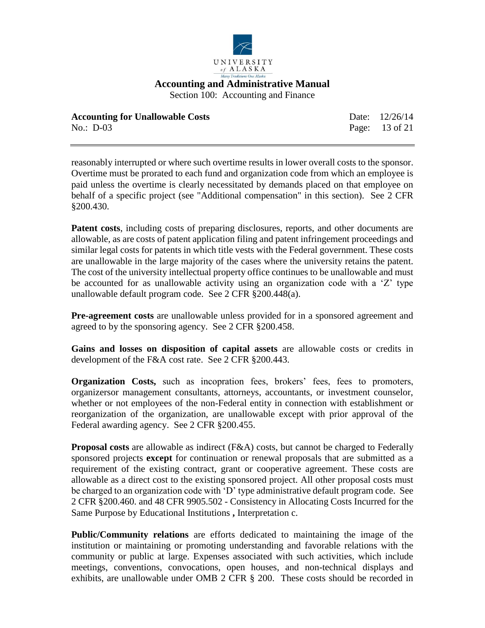

Section 100: Accounting and Finance

| <b>Accounting for Unallowable Costs</b> | Date: 12/26/14 |
|-----------------------------------------|----------------|
| No.: $D-03$                             | Page: 13 of 21 |

reasonably interrupted or where such overtime results in lower overall costs to the sponsor. Overtime must be prorated to each fund and organization code from which an employee is paid unless the overtime is clearly necessitated by demands placed on that employee on behalf of a specific project (see "Additional compensation" in this section). See 2 CFR §200.430.

**Patent costs**, including costs of preparing disclosures, reports, and other documents are allowable, as are costs of patent application filing and patent infringement proceedings and similar legal costs for patents in which title vests with the Federal government. These costs are unallowable in the large majority of the cases where the university retains the patent. The cost of the university intellectual property office continues to be unallowable and must be accounted for as unallowable activity using an organization code with a 'Z' type unallowable default program code. See 2 CFR §200.448(a).

**Pre-agreement costs** are unallowable unless provided for in a sponsored agreement and agreed to by the sponsoring agency. See 2 CFR §200.458.

**Gains and losses on disposition of capital assets** are allowable costs or credits in development of the F&A cost rate. See 2 CFR §200.443.

**Organization Costs,** such as incopration fees, brokers' fees, fees to promoters, organizersor management consultants, attorneys, accountants, or investment counselor, whether or not employees of the non-Federal entity in connection with establishment or reorganization of the organization, are unallowable except with prior approval of the Federal awarding agency. See 2 CFR §200.455.

**Proposal costs** are allowable as indirect (F&A) costs, but cannot be charged to Federally sponsored projects **except** for continuation or renewal proposals that are submitted as a requirement of the existing contract, grant or cooperative agreement. These costs are allowable as a direct cost to the existing sponsored project. All other proposal costs must be charged to an organization code with 'D' type administrative default program code. See 2 CFR §200.460. and 48 CFR 9905.502 - Consistency in Allocating Costs Incurred for the Same Purpose by Educational Institutions **,** Interpretation c.

**Public/Community relations** are efforts dedicated to maintaining the image of the institution or maintaining or promoting understanding and favorable relations with the community or public at large. Expenses associated with such activities, which include meetings, conventions, convocations, open houses, and non-technical displays and exhibits, are unallowable under OMB 2 CFR § 200. These costs should be recorded in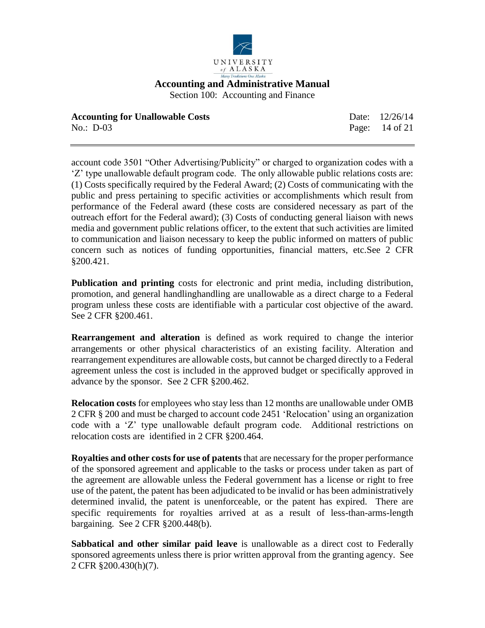

| <b>Accounting for Unallowable Costs</b> | Date: 12/26/14 |
|-----------------------------------------|----------------|
| No.: $D-03$                             | Page: 14 of 21 |

account code 3501 "Other Advertising/Publicity" or charged to organization codes with a 'Z' type unallowable default program code. The only allowable public relations costs are: (1) Costs specifically required by the Federal Award; (2) Costs of communicating with the public and press pertaining to specific activities or accomplishments which result from performance of the Federal award (these costs are considered necessary as part of the outreach effort for the Federal award); (3) Costs of conducting general liaison with news media and government public relations officer, to the extent that such activities are limited to communication and liaison necessary to keep the public informed on matters of public concern such as notices of funding opportunities, financial matters, etc.See 2 CFR §200.421.

**Publication and printing** costs for electronic and print media, including distribution, promotion, and general handlinghandling are unallowable as a direct charge to a Federal program unless these costs are identifiable with a particular cost objective of the award. See 2 CFR §200.461.

**Rearrangement and alteration** is defined as work required to change the interior arrangements or other physical characteristics of an existing facility. Alteration and rearrangement expenditures are allowable costs, but cannot be charged directly to a Federal agreement unless the cost is included in the approved budget or specifically approved in advance by the sponsor. See 2 CFR §200.462.

**Relocation costs** for employees who stay less than 12 months are unallowable under OMB 2 CFR § 200 and must be charged to account code 2451 'Relocation' using an organization code with a 'Z' type unallowable default program code. Additional restrictions on relocation costs are identified in 2 CFR §200.464.

**Royalties and other costs for use of patents** that are necessary for the proper performance of the sponsored agreement and applicable to the tasks or process under taken as part of the agreement are allowable unless the Federal government has a license or right to free use of the patent, the patent has been adjudicated to be invalid or has been administratively determined invalid, the patent is unenforceable, or the patent has expired. There are specific requirements for royalties arrived at as a result of less-than-arms-length bargaining. See 2 CFR §200.448(b).

**Sabbatical and other similar paid leave** is unallowable as a direct cost to Federally sponsored agreements unless there is prior written approval from the granting agency. See 2 CFR §200.430(h)(7).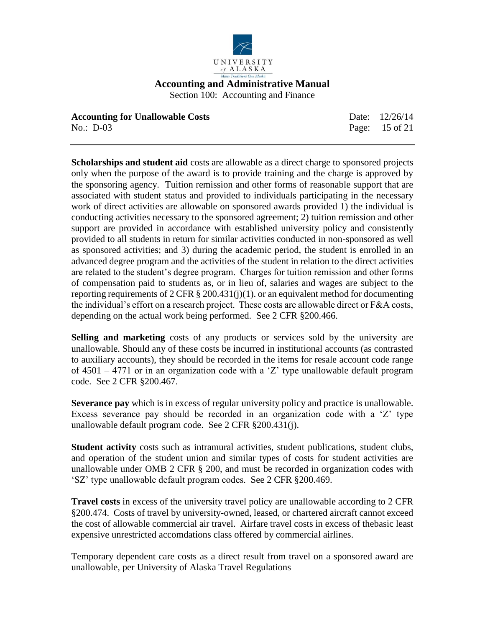

| <b>Accounting for Unallowable Costs</b> | Date: 12/26/14 |
|-----------------------------------------|----------------|
| No.: D-03                               | Page: 15 of 21 |

**Scholarships and student aid** costs are allowable as a direct charge to sponsored projects only when the purpose of the award is to provide training and the charge is approved by the sponsoring agency. Tuition remission and other forms of reasonable support that are associated with student status and provided to individuals participating in the necessary work of direct activities are allowable on sponsored awards provided 1) the individual is conducting activities necessary to the sponsored agreement; 2) tuition remission and other support are provided in accordance with established university policy and consistently provided to all students in return for similar activities conducted in non-sponsored as well as sponsored activities; and 3) during the academic period, the student is enrolled in an advanced degree program and the activities of the student in relation to the direct activities are related to the student's degree program. Charges for tuition remission and other forms of compensation paid to students as, or in lieu of, salaries and wages are subject to the reporting requirements of 2 CFR  $\S 200.431(j)(1)$ . or an equivalent method for documenting the individual's effort on a research project. These costs are allowable direct or F&A costs, depending on the actual work being performed. See 2 CFR §200.466.

**Selling and marketing** costs of any products or services sold by the university are unallowable. Should any of these costs be incurred in institutional accounts (as contrasted to auxiliary accounts), they should be recorded in the items for resale account code range of 4501 – 4771 or in an organization code with a 'Z' type unallowable default program code. See 2 CFR §200.467.

**Severance pay** which is in excess of regular university policy and practice is unallowable. Excess severance pay should be recorded in an organization code with a 'Z' type unallowable default program code. See 2 CFR §200.431(j).

**Student activity** costs such as intramural activities, student publications, student clubs, and operation of the student union and similar types of costs for student activities are unallowable under OMB 2 CFR  $\S$  200, and must be recorded in organization codes with 'SZ' type unallowable default program codes. See 2 CFR §200.469.

**Travel costs** in excess of the university travel policy are unallowable according to 2 CFR §200.474. Costs of travel by university-owned, leased, or chartered aircraft cannot exceed the cost of allowable commercial air travel. Airfare travel costs in excess of thebasic least expensive unrestricted accomdations class offered by commercial airlines.

Temporary dependent care costs as a direct result from travel on a sponsored award are unallowable, per University of Alaska Travel Regulations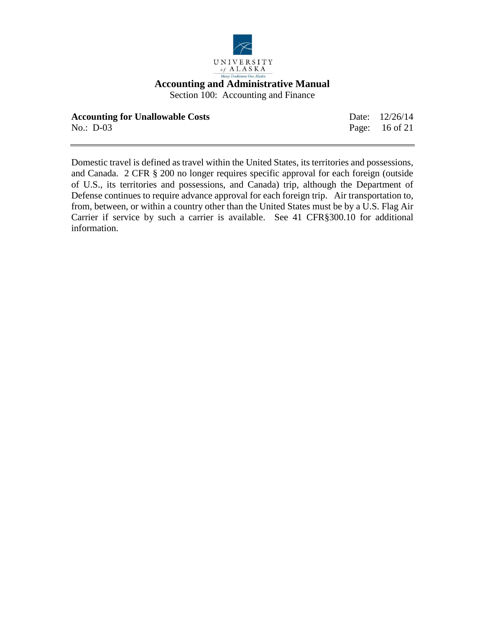

Section 100: Accounting and Finance

| <b>Accounting for Unallowable Costs</b> | Date: 12/26/14 |
|-----------------------------------------|----------------|
| $No.: D-03$                             | Page: 16 of 21 |

Domestic travel is defined as travel within the United States, its territories and possessions, and Canada. 2 CFR § 200 no longer requires specific approval for each foreign (outside of U.S., its territories and possessions, and Canada) trip, although the Department of Defense continues to require advance approval for each foreign trip. Air transportation to, from, between, or within a country other than the United States must be by a U.S. Flag Air Carrier if service by such a carrier is available. See 41 CFR§300.10 for additional information.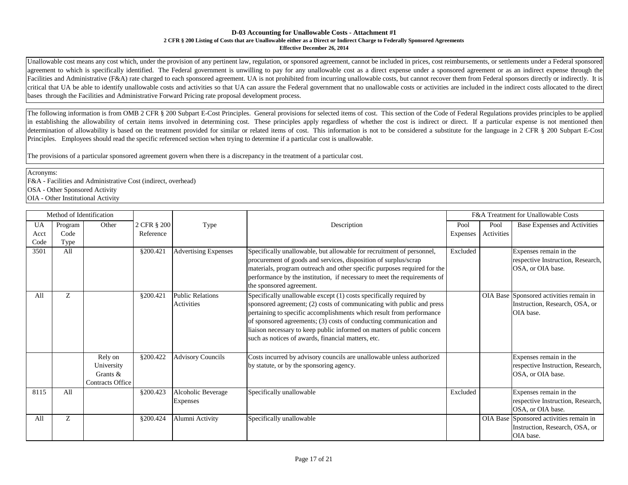#### **D-03 Accounting for Unallowable Costs - Attachment #1 2 CFR § 200 Listing of Costs that are Unallowable either as a Direct or Indirect Charge to Federally Sponsored Agreements Effective December 26, 2014**

Unallowable cost means any cost which, under the provision of any pertinent law, regulation, or sponsored agreement, cannot be included in prices, cost reimbursements, or settlements under a Federal sponsored agreement to which is specifically identified. The Federal government is unwilling to pay for any unallowable cost as a direct expense under a sponsored agreement or as an indirect expense through the Facilities and Administrative (F&A) rate charged to each sponsored agreement. UA is not prohibited from incurring unallowable costs, but cannot recover them from Federal sponsors directly or indirectly. It is critical that UA be able to identify unallowable costs and activities so that UA can assure the Federal government that no unallowable costs or activities are included in the indirect costs allocated to the direct bases through the Facilities and Administrative Forward Pricing rate proposal development process.

The following information is from OMB 2 CFR § 200 Subpart E-Cost Principles. General provisions for selected items of cost. This section of the Code of Federal Regulations provides principles to be applied in establishing the allowability of certain items involved in determining cost. These principles apply regardless of whether the cost is indirect or direct. If a particular expense is not mentioned then determination of allowability is based on the treatment provided for similar or related items of cost. This information is not to be considered a substitute for the language in 2 CFR § 200 Subpart E-Cost Principles. Employees should read the specific referenced section when trying to determine if a particular cost is unallowable.

The provisions of a particular sponsored agreement govern when there is a discrepancy in the treatment of a particular cost.

Acronyms:

F&A - Facilities and Administrative Cost (indirect, overhead)

OSA - Other Sponsored Activity

OIA - Other Institutional Activity

|           | Method of Identification |                  |             |                             |                                                                          | F&A Treatment for Unallowable Costs |            |                                         |
|-----------|--------------------------|------------------|-------------|-----------------------------|--------------------------------------------------------------------------|-------------------------------------|------------|-----------------------------------------|
| <b>UA</b> | Program                  | Other            | 2 CFR § 200 | Type                        | Description                                                              | Pool                                | Pool       | <b>Base Expenses and Activities</b>     |
| Acct      | Code                     |                  | Reference   |                             |                                                                          | Expenses                            | Activities |                                         |
| Code      | Type                     |                  |             |                             |                                                                          |                                     |            |                                         |
| 3501      | All                      |                  | §200.421    | <b>Advertising Expenses</b> | Specifically unallowable, but allowable for recruitment of personnel,    | Excluded                            |            | Expenses remain in the                  |
|           |                          |                  |             |                             | procurement of goods and services, disposition of surplus/scrap          |                                     |            | respective Instruction, Research,       |
|           |                          |                  |             |                             | materials, program outreach and other specific purposes required for the |                                     |            | OSA, or OIA base.                       |
|           |                          |                  |             |                             | performance by the institution, if necessary to meet the requirements of |                                     |            |                                         |
|           |                          |                  |             |                             | the sponsored agreement.                                                 |                                     |            |                                         |
| All       | Z                        |                  | §200.421    | <b>Public Relations</b>     | Specifically unallowable except (1) costs specifically required by       |                                     |            | OIA Base Sponsored activities remain in |
|           |                          |                  |             | Activities                  | sponsored agreement; (2) costs of communicating with public and press    |                                     |            | Instruction, Research, OSA, or          |
|           |                          |                  |             |                             | pertaining to specific accomplishments which result from performance     |                                     |            | OIA base.                               |
|           |                          |                  |             |                             | of sponsored agreements; (3) costs of conducting communication and       |                                     |            |                                         |
|           |                          |                  |             |                             | liaison necessary to keep public informed on matters of public concern   |                                     |            |                                         |
|           |                          |                  |             |                             | such as notices of awards, financial matters, etc.                       |                                     |            |                                         |
|           |                          |                  |             |                             |                                                                          |                                     |            |                                         |
|           |                          | Rely on          | §200.422    | <b>Advisory Councils</b>    | Costs incurred by advisory councils are unallowable unless authorized    |                                     |            | Expenses remain in the                  |
|           |                          | University       |             |                             | by statute, or by the sponsoring agency.                                 |                                     |            | respective Instruction, Research,       |
|           |                          | Grants &         |             |                             |                                                                          |                                     |            | OSA, or OIA base.                       |
|           |                          | Contracts Office |             |                             |                                                                          |                                     |            |                                         |
| 8115      | All                      |                  | §200.423    | Alcoholic Beverage          | Specifically unallowable                                                 | Excluded                            |            | Expenses remain in the                  |
|           |                          |                  |             | Expenses                    |                                                                          |                                     |            | respective Instruction, Research,       |
|           |                          |                  |             |                             |                                                                          |                                     |            | OSA, or OIA base.                       |
| All       | Z                        |                  | §200.424    | Alumni Activity             | Specifically unallowable                                                 |                                     |            | OIA Base Sponsored activities remain in |
|           |                          |                  |             |                             |                                                                          |                                     |            | Instruction, Research, OSA, or          |
|           |                          |                  |             |                             |                                                                          |                                     |            | OIA base.                               |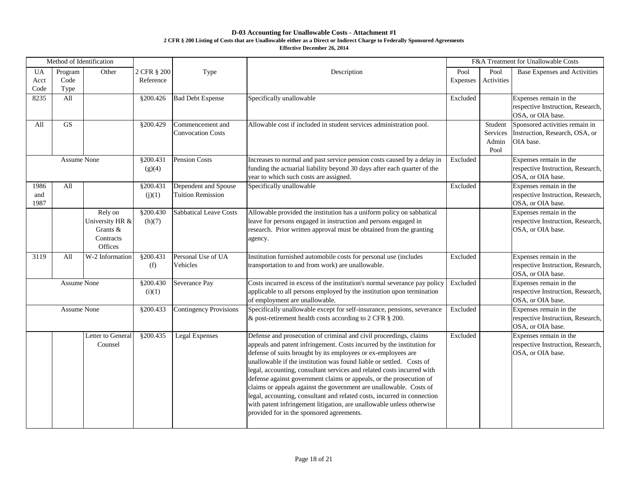## **D-03 Accounting for Unallowable Costs - Attachment #1**

#### **2 CFR § 200 Listing of Costs that are Unallowable either as a Direct or Indirect Charge to Federally Sponsored Agreements**

**Effective December 26, 2014**

|                           | Method of Identification |                                                                |                          |                                                  |                                                                                                                                                                                                                                                                                                                                                                                                                                                                                                                                                                                                                                                                                                              | F&A Treatment for Unallowable Costs |                                      |                                                                                  |
|---------------------------|--------------------------|----------------------------------------------------------------|--------------------------|--------------------------------------------------|--------------------------------------------------------------------------------------------------------------------------------------------------------------------------------------------------------------------------------------------------------------------------------------------------------------------------------------------------------------------------------------------------------------------------------------------------------------------------------------------------------------------------------------------------------------------------------------------------------------------------------------------------------------------------------------------------------------|-------------------------------------|--------------------------------------|----------------------------------------------------------------------------------|
| <b>UA</b><br>Acct<br>Code | Program<br>Code<br>Type  | Other                                                          | 2 CFR § 200<br>Reference | Type                                             | Description                                                                                                                                                                                                                                                                                                                                                                                                                                                                                                                                                                                                                                                                                                  | Pool<br><b>Expenses</b>             | Pool<br>Activities                   | <b>Base Expenses and Activities</b>                                              |
| 8235                      | All                      |                                                                | §200.426                 | <b>Bad Debt Expense</b>                          | Specifically unallowable                                                                                                                                                                                                                                                                                                                                                                                                                                                                                                                                                                                                                                                                                     | Excluded                            |                                      | Expenses remain in the<br>respective Instruction, Research,<br>OSA, or OIA base. |
| All                       | <b>GS</b>                |                                                                | §200.429                 | Commencement and<br><b>Convocation Costs</b>     | Allowable cost if included in student services administration pool.                                                                                                                                                                                                                                                                                                                                                                                                                                                                                                                                                                                                                                          |                                     | Student<br>Services<br>Admin<br>Pool | Sponsored activities remain in<br>Instruction, Research, OSA, or<br>OIA base.    |
|                           | <b>Assume None</b>       |                                                                | §200.431<br>(g)(4)       | <b>Pension Costs</b>                             | Increases to normal and past service pension costs caused by a delay in<br>funding the actuarial liability beyond 30 days after each quarter of the<br>year to which such costs are assigned.                                                                                                                                                                                                                                                                                                                                                                                                                                                                                                                | Excluded                            |                                      | Expenses remain in the<br>respective Instruction, Research,<br>OSA, or OIA base. |
| 1986<br>and<br>1987       | All                      |                                                                | \$200.43<br>(j)(1)       | Dependent and Spouse<br><b>Tuition Remission</b> | Specifically unallowable                                                                                                                                                                                                                                                                                                                                                                                                                                                                                                                                                                                                                                                                                     | Excluded                            |                                      | Expenses remain in the<br>respective Instruction, Research,<br>OSA, or OIA base. |
|                           |                          | Rely on<br>University HR &<br>Grants &<br>Contracts<br>Offices | §200.430<br>(h)(7)       | <b>Sabbatical Leave Costs</b>                    | Allowable provided the institution has a uniform policy on sabbatical<br>leave for persons engaged in instruction and persons engaged in<br>research. Prior written approval must be obtained from the granting<br>agency.                                                                                                                                                                                                                                                                                                                                                                                                                                                                                   |                                     |                                      | Expenses remain in the<br>respective Instruction, Research,<br>OSA, or OIA base. |
| 3119                      | All                      | W-2 Information                                                | §200.431<br>(f)          | Personal Use of UA<br>Vehicles                   | Institution furnished automobile costs for personal use (includes<br>transportation to and from work) are unallowable.                                                                                                                                                                                                                                                                                                                                                                                                                                                                                                                                                                                       | Excluded                            |                                      | Expenses remain in the<br>respective Instruction, Research,<br>OSA, or OIA base. |
|                           | <b>Assume None</b>       |                                                                | §200.430<br>(i)(1)       | <b>Severance Pay</b>                             | Costs incurred in excess of the institution's normal severance pay policy<br>applicable to all persons employed by the institution upon termination<br>of employment are unallowable.                                                                                                                                                                                                                                                                                                                                                                                                                                                                                                                        | Excluded                            |                                      | Expenses remain in the<br>respective Instruction, Research,<br>OSA, or OIA base. |
|                           | <b>Assume None</b>       |                                                                | §200.433                 | <b>Contingency Provisions</b>                    | Specifically unallowable except for self-insurance, pensions, severance<br>& post-retirement health costs according to 2 CFR § 200.                                                                                                                                                                                                                                                                                                                                                                                                                                                                                                                                                                          | Excluded                            |                                      | Expenses remain in the<br>respective Instruction, Research,<br>OSA, or OIA base. |
|                           |                          | Letter to General<br>Counsel                                   | §200.435                 | <b>Legal Expenses</b>                            | Defense and prosecution of criminal and civil proceedings, claims<br>appeals and patent infringement. Costs incurred by the institution for<br>defense of suits brought by its employees or ex-employees are<br>unallowable if the institution was found liable or settled. Costs of<br>legal, accounting, consultant services and related costs incurred with<br>defense against government claims or appeals, or the prosecution of<br>claims or appeals against the government are unallowable. Costs of<br>legal, accounting, consultant and related costs, incurred in connection<br>with patent infringement litigation, are unallowable unless otherwise<br>provided for in the sponsored agreements. | Excluded                            |                                      | Expenses remain in the<br>respective Instruction, Research,<br>OSA, or OIA base. |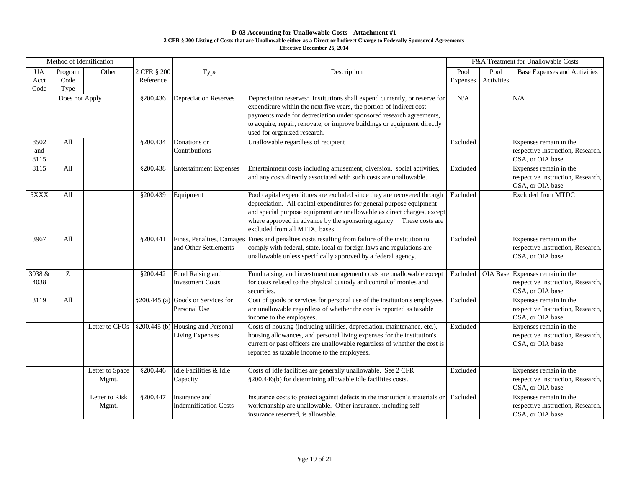# **D-03 Accounting for Unallowable Costs - Attachment #1**

#### **2 CFR § 200 Listing of Costs that are Unallowable either as a Direct or Indirect Charge to Federally Sponsored Agreements**

**Effective December 26, 2014**

|                           | Method of Identification |                          |                          |                                                             |                                                                                                                                                                                                                                                                                                                                       | F&A Treatment for Unallowable Costs |                    |                                                                                           |
|---------------------------|--------------------------|--------------------------|--------------------------|-------------------------------------------------------------|---------------------------------------------------------------------------------------------------------------------------------------------------------------------------------------------------------------------------------------------------------------------------------------------------------------------------------------|-------------------------------------|--------------------|-------------------------------------------------------------------------------------------|
| <b>UA</b><br>Acct<br>Code | Program<br>Code<br>Type  | Other                    | 2 CFR § 200<br>Reference | Type                                                        | Description                                                                                                                                                                                                                                                                                                                           | Pool<br>Expenses                    | Pool<br>Activities | <b>Base Expenses and Activities</b>                                                       |
|                           | Does not Apply           |                          | §200.436                 | <b>Depreciation Reserves</b>                                | Depreciation reserves: Institutions shall expend currently, or reserve for<br>expenditure within the next five years, the portion of indirect cost<br>payments made for depreciation under sponsored research agreements,<br>to acquire, repair, renovate, or improve buildings or equipment directly<br>used for organized research. | N/A                                 |                    | N/A                                                                                       |
| 8502<br>and<br>8115       | All                      |                          | §200.434                 | Donations or<br>Contributions                               | Unallowable regardless of recipient                                                                                                                                                                                                                                                                                                   | Excluded                            |                    | Expenses remain in the<br>respective Instruction, Research,<br>OSA, or OIA base.          |
| 8115                      | All                      |                          | §200.438                 | <b>Entertainment Expenses</b>                               | Entertainment costs including amusement, diversion, social activities,<br>and any costs directly associated with such costs are unallowable.                                                                                                                                                                                          | Excluded                            |                    | Expenses remain in the<br>respective Instruction, Research,<br>OSA, or OIA base.          |
| 5XXX                      | All                      |                          | §200.439                 | Equipment                                                   | Pool capital expenditures are excluded since they are recovered through<br>depreciation. All capital expenditures for general purpose equipment<br>and special purpose equipment are unallowable as direct charges, except<br>where approved in advance by the sponsoring agency. These costs are<br>excluded from all MTDC bases.    | Excluded                            |                    | <b>Excluded from MTDC</b>                                                                 |
| 3967                      | All                      |                          | §200.441                 | Fines, Penalties, Damages<br>and Other Settlements          | Fines and penalties costs resulting from failure of the institution to<br>comply with federal, state, local or foreign laws and regulations are<br>unallowable unless specifically approved by a federal agency.                                                                                                                      | Excluded                            |                    | Expenses remain in the<br>respective Instruction, Research,<br>OSA, or OIA base.          |
| 3038 &<br>4038            | Z                        |                          | \$200.442                | Fund Raising and<br><b>Investment Costs</b>                 | Fund raising, and investment management costs are unallowable except<br>for costs related to the physical custody and control of monies and<br>securities.                                                                                                                                                                            | Excluded                            |                    | OIA Base Expenses remain in the<br>respective Instruction, Research,<br>OSA, or OIA base. |
| 3119                      | All                      |                          |                          | $\S 200.445$ (a) Goods or Services for<br>Personal Use      | Cost of goods or services for personal use of the institution's employees<br>are unallowable regardless of whether the cost is reported as taxable<br>income to the employees.                                                                                                                                                        | Excluded                            |                    | Expenses remain in the<br>respective Instruction, Research,<br>OSA, or OIA base.          |
|                           |                          | Letter to CFOs           |                          | §200.445 (b) Housing and Personal<br><b>Living Expenses</b> | Costs of housing (including utilities, depreciation, maintenance, etc.),<br>housing allowances, and personal living expenses for the institution's<br>current or past officers are unallowable regardless of whether the cost is<br>reported as taxable income to the employees.                                                      | Excluded                            |                    | Expenses remain in the<br>respective Instruction, Research,<br>OSA, or OIA base.          |
|                           |                          | Letter to Space<br>Mgmt. | §200.446                 | Idle Facilities & Idle<br>Capacity                          | Costs of idle facilities are generally unallowable. See 2 CFR<br>§200.446(b) for determining allowable idle facilities costs.                                                                                                                                                                                                         | Excluded                            |                    | Expenses remain in the<br>respective Instruction, Research,<br>OSA, or OIA base.          |
|                           |                          | Letter to Risk<br>Mgmt.  | §200.447                 | Insurance and<br><b>Indemnification Costs</b>               | Insurance costs to protect against defects in the institution's materials or<br>workmanship are unallowable. Other insurance, including self-<br>insurance reserved, is allowable.                                                                                                                                                    | Excluded                            |                    | Expenses remain in the<br>respective Instruction, Research,<br>OSA, or OIA base.          |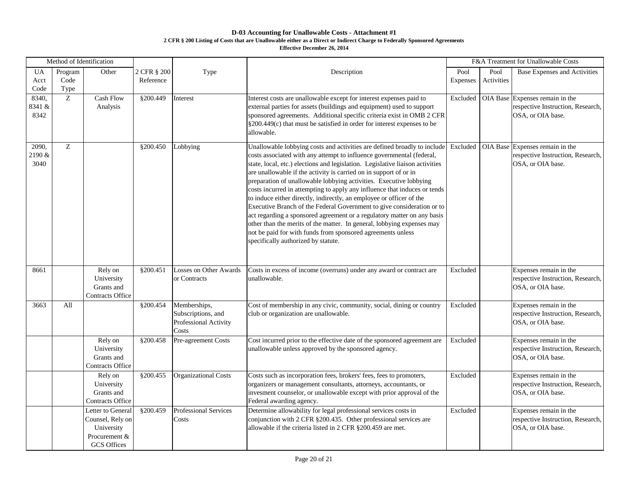# **D-03 Accounting for Unallowable Costs - Attachment #1 2 CFR § 200 Listing of Costs that are Unallowable either as a Direct or Indirect Charge to Federally Sponsored Agreements**

**Effective December 26, 2014**

|                         | Method of Identification |                                                                                            |                          |                                                                      |                                                                                                                                                                                                                                                                                                                                                                                                                                                                                                                                                                                                                                                                                                                                                                                                                                                                         | F&A Treatment for Unallowable Costs |                    |                                                                                           |
|-------------------------|--------------------------|--------------------------------------------------------------------------------------------|--------------------------|----------------------------------------------------------------------|-------------------------------------------------------------------------------------------------------------------------------------------------------------------------------------------------------------------------------------------------------------------------------------------------------------------------------------------------------------------------------------------------------------------------------------------------------------------------------------------------------------------------------------------------------------------------------------------------------------------------------------------------------------------------------------------------------------------------------------------------------------------------------------------------------------------------------------------------------------------------|-------------------------------------|--------------------|-------------------------------------------------------------------------------------------|
| <b>UA</b><br>Acct       | Program<br>Code          | Other                                                                                      | 2 CFR § 200<br>Reference | Type                                                                 | Description                                                                                                                                                                                                                                                                                                                                                                                                                                                                                                                                                                                                                                                                                                                                                                                                                                                             | Pool<br><b>Expenses</b>             | Pool<br>Activities | Base Expenses and Activities                                                              |
| Code                    | Type                     |                                                                                            |                          |                                                                      |                                                                                                                                                                                                                                                                                                                                                                                                                                                                                                                                                                                                                                                                                                                                                                                                                                                                         |                                     |                    |                                                                                           |
| 8340,<br>8341 &<br>8342 | Z                        | <b>Cash Flow</b><br>Analysis                                                               | §200.449                 | Interest                                                             | Interest costs are unallowable except for interest expenses paid to<br>external parties for assets (buildings and equipment) used to support<br>sponsored agreements. Additional specific criteria exist in OMB 2 CFR<br>$\S 200.449(c)$ that must be satisfied in order for interest expenses to be<br>allowable.                                                                                                                                                                                                                                                                                                                                                                                                                                                                                                                                                      | Excluded                            |                    | OIA Base Expenses remain in the<br>respective Instruction, Research,<br>OSA, or OIA base. |
| 2090,<br>2190 &<br>3040 | Z                        |                                                                                            | §200.450                 | Lobbying                                                             | Unallowable lobbying costs and activities are defined broadly to include<br>costs associated with any attempt to influence governmental (federal,<br>state, local, etc.) elections and legislation. Legislative liaison activities<br>are unallowable if the activity is carried on in support of or in<br>preparation of unallowable lobbying activities. Executive lobbying<br>costs incurred in attempting to apply any influence that induces or tends<br>to induce either directly, indirectly, an employee or officer of the<br>Executive Branch of the Federal Government to give consideration or to<br>act regarding a sponsored agreement or a regulatory matter on any basis<br>other than the merits of the matter. In general, lobbying expenses may<br>not be paid for with funds from sponsored agreements unless<br>specifically authorized by statute. | Excluded                            |                    | OIA Base Expenses remain in the<br>respective Instruction, Research,<br>OSA, or OIA base. |
| 8661                    |                          | Rely on<br>University<br>Grants and<br><b>Contracts Office</b>                             | §200.451                 | <b>Losses on Other Awards</b><br>or Contracts                        | Costs in excess of income (overruns) under any award or contract are<br>unallowable.                                                                                                                                                                                                                                                                                                                                                                                                                                                                                                                                                                                                                                                                                                                                                                                    | Excluded                            |                    | Expenses remain in the<br>respective Instruction, Research,<br>OSA, or OIA base.          |
| 3663                    | All                      |                                                                                            | \$200.454                | Memberships,<br>Subscriptions, and<br>Professional Activity<br>Costs | Cost of membership in any civic, community, social, dining or country<br>club or organization are unallowable.                                                                                                                                                                                                                                                                                                                                                                                                                                                                                                                                                                                                                                                                                                                                                          | Excluded                            |                    | Expenses remain in the<br>respective Instruction, Research,<br>OSA, or OIA base.          |
|                         |                          | Rely on<br>University<br>Grants and<br><b>Contracts Office</b>                             | §200.458                 | Pre-agreement Costs                                                  | Cost incurred prior to the effective date of the sponsored agreement are<br>unallowable unless approved by the sponsored agency.                                                                                                                                                                                                                                                                                                                                                                                                                                                                                                                                                                                                                                                                                                                                        | Excluded                            |                    | Expenses remain in the<br>respective Instruction, Research,<br>OSA, or OIA base.          |
|                         |                          | Rely on<br>University<br>Grants and<br><b>Contracts Office</b>                             | §200.455                 | <b>Organizational Costs</b>                                          | Costs such as incorporation fees, brokers' fees, fees to promoters,<br>organizers or management consultants, attorneys, accountants, or<br>invesment counselor, or unallowable except with prior approval of the<br>Federal awarding agency.                                                                                                                                                                                                                                                                                                                                                                                                                                                                                                                                                                                                                            | Excluded                            |                    | Expenses remain in the<br>respective Instruction, Research,<br>OSA, or OIA base.          |
|                         |                          | Letter to General<br>Counsel, Rely on<br>University<br>Procurement &<br><b>GCS</b> Offices | §200.459                 | <b>Professional Services</b><br>Costs                                | Determine allowability for legal professional services costs in<br>conjunction with 2 CFR §200.435. Other professional services are<br>allowable if the criteria listed in 2 CFR §200.459 are met.                                                                                                                                                                                                                                                                                                                                                                                                                                                                                                                                                                                                                                                                      | Excluded                            |                    | Expenses remain in the<br>respective Instruction, Research,<br>OSA, or OIA base.          |